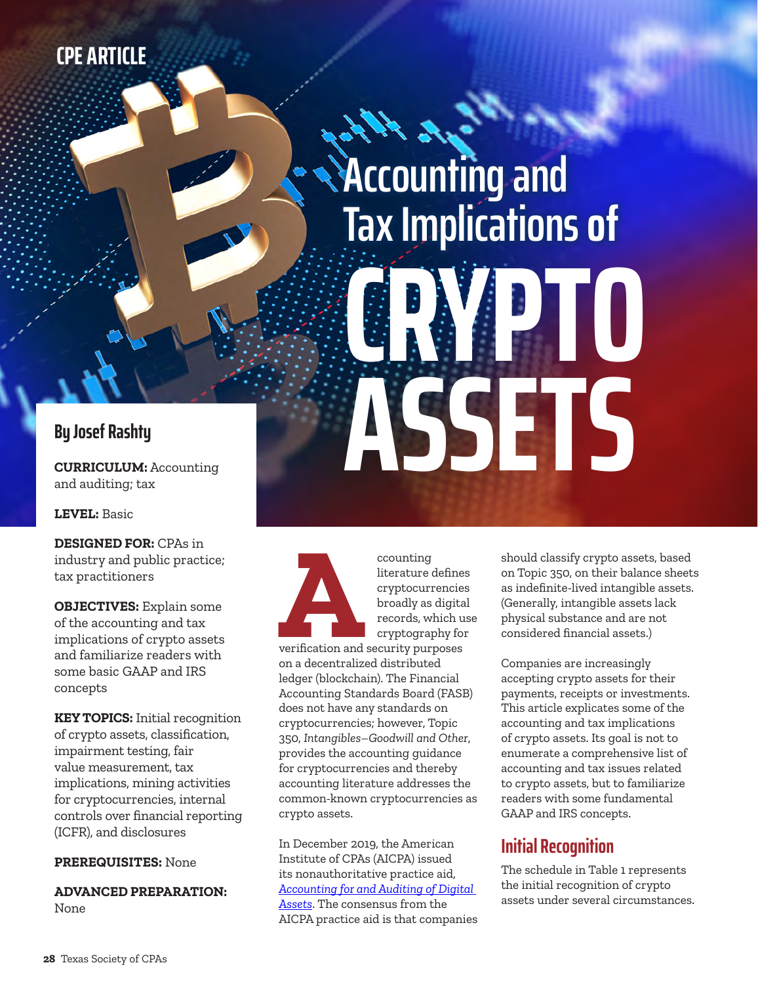# **CPE ARTICLE**

# **ACcounting and Tax Implicationsof CRYPTO ASSETS**

## **By Josef Rashty**

**CURRICULUM:** Accounting and auditing; tax

**LEVEL:** Basic

**DESIGNED FOR:** CPAs in industry and public practice; tax practitioners

**OBJECTIVES:** Explain some of the accounting and tax implications of crypto assets and familiarize readers with some basic GAAP and IRS concepts

**KEY TOPICS:** Initial recognition of crypto assets, classification, impairment testing, fair value measurement, tax implications, mining activities for cryptocurrencies, internal controls over financial reporting (ICFR), and disclosures

### **PREREQUISITES:** None

**ADVANCED PREPARATION:** None



literature defines cryptocurrencies broadly as digital records, which use cryptography for

verification and security purposes on a decentralized distributed ledger (blockchain). The Financial Accounting Standards Board (FASB) does not have any standards on cryptocurrencies; however, Topic 350, *Intangibles–Goodwill and Other*, provides the accounting guidance for cryptocurrencies and thereby accounting literature addresses the common-known cryptocurrencies as crypto assets.

In December 2019, the American Institute of CPAs (AICPA) issued its nonauthoritative practice aid, *[Accounting for and Auditing of Digital](https://www.aicpa.org/resources/download/accounting-for-and-auditing-of-digital-assets-practice-aid-pdf)  [Assets](https://www.aicpa.org/resources/download/accounting-for-and-auditing-of-digital-assets-practice-aid-pdf)*. The consensus from the AICPA practice aid is that companies should classify crypto assets, based on Topic 350, on their balance sheets as indefinite-lived intangible assets. (Generally, intangible assets lack physical substance and are not considered financial assets.)

Companies are increasingly accepting crypto assets for their payments, receipts or investments. This article explicates some of the accounting and tax implications of crypto assets. Its goal is not to enumerate a comprehensive list of accounting and tax issues related to crypto assets, but to familiarize readers with some fundamental GAAP and IRS concepts.

# **Initial Recognition**

The schedule in Table 1 represents the initial recognition of crypto assets under several circumstances.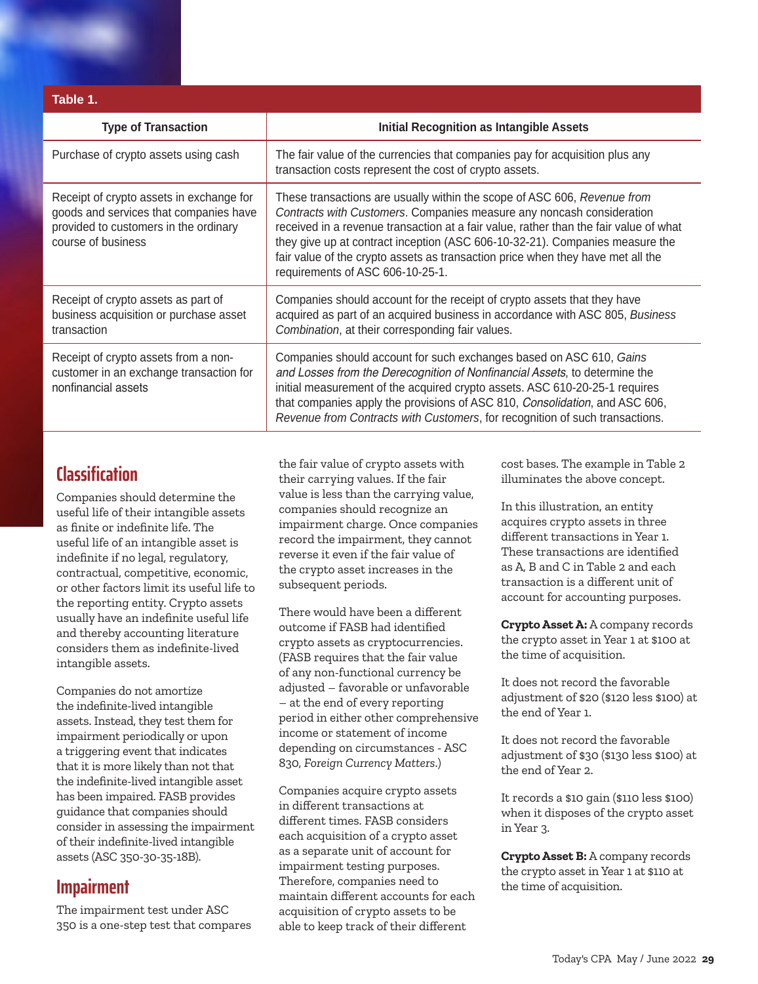| Table 1.                                                                                                                                          |                                                                                                                                                                                                                                                                                                                                                                                                                                                   |  |  |  |  |  |
|---------------------------------------------------------------------------------------------------------------------------------------------------|---------------------------------------------------------------------------------------------------------------------------------------------------------------------------------------------------------------------------------------------------------------------------------------------------------------------------------------------------------------------------------------------------------------------------------------------------|--|--|--|--|--|
| <b>Type of Transaction</b>                                                                                                                        | <b>Initial Recognition as Intangible Assets</b>                                                                                                                                                                                                                                                                                                                                                                                                   |  |  |  |  |  |
| Purchase of crypto assets using cash                                                                                                              | The fair value of the currencies that companies pay for acquisition plus any<br>transaction costs represent the cost of crypto assets.                                                                                                                                                                                                                                                                                                            |  |  |  |  |  |
| Receipt of crypto assets in exchange for<br>goods and services that companies have<br>provided to customers in the ordinary<br>course of business | These transactions are usually within the scope of ASC 606, Revenue from<br>Contracts with Customers. Companies measure any noncash consideration<br>received in a revenue transaction at a fair value, rather than the fair value of what<br>they give up at contract inception (ASC 606-10-32-21). Companies measure the<br>fair value of the crypto assets as transaction price when they have met all the<br>requirements of ASC 606-10-25-1. |  |  |  |  |  |
| Receipt of crypto assets as part of<br>business acquisition or purchase asset<br>transaction                                                      | Companies should account for the receipt of crypto assets that they have<br>acquired as part of an acquired business in accordance with ASC 805, Business<br>Combination, at their corresponding fair values.                                                                                                                                                                                                                                     |  |  |  |  |  |
| Receipt of crypto assets from a non-<br>customer in an exchange transaction for<br>nonfinancial assets                                            | Companies should account for such exchanges based on ASC 610, Gains<br>and Losses from the Derecognition of Nonfinancial Assets, to determine the<br>initial measurement of the acquired crypto assets. ASC 610-20-25-1 requires<br>that companies apply the provisions of ASC 810, Consolidation, and ASC 606,<br>Revenue from Contracts with Customers, for recognition of such transactions.                                                   |  |  |  |  |  |

# **Classification**

Companies should determine the useful life of their intangible assets as finite or indefinite life. The useful life of an intangible asset is indefinite if no legal, regulatory, contractual, competitive, economic, or other factors limit its useful life to the reporting entity. Crypto assets usually have an indefinite useful life and thereby accounting literature considers them as indefinite-lived intangible assets.

Companies do not amortize the indefinite-lived intangible assets. Instead, they test them for impairment periodically or upon a triggering event that indicates that it is more likely than not that the indefinite-lived intangible asset has been impaired. FASB provides guidance that companies should consider in assessing the impairment of their indefinite-lived intangible assets (ASC 350-30-35-18B).

# **Impairment**

The impairment test under ASC 350 is a one-step test that compares the fair value of crypto assets with their carrying values. If the fair value is less than the carrying value, companies should recognize an impairment charge. Once companies record the impairment, they cannot reverse it even if the fair value of the crypto asset increases in the subsequent periods.

There would have been a different outcome if FASB had identified crypto assets as cryptocurrencies. (FASB requires that the fair value of any non-functional currency be adjusted – favorable or unfavorable – at the end of every reporting period in either other comprehensive income or statement of income depending on circumstances - ASC 830, *Foreign Currency Matters*.)

Companies acquire crypto assets in different transactions at different times. FASB considers each acquisition of a crypto asset as a separate unit of account for impairment testing purposes. Therefore, companies need to maintain different accounts for each acquisition of crypto assets to be able to keep track of their different

cost bases. The example in Table 2 illuminates the above concept.

In this illustration, an entity acquires crypto assets in three different transactions in Year 1. These transactions are identified as A, B and C in Table 2 and each transaction is a different unit of account for accounting purposes.

**Crypto Asset A:** A company records the crypto asset in Year 1 at \$100 at the time of acquisition.

It does not record the favorable adjustment of \$20 (\$120 less \$100) at the end of Year 1.

It does not record the favorable adjustment of \$30 (\$130 less \$100) at the end of Year 2.

It records a \$10 gain (\$110 less \$100) when it disposes of the crypto asset in Year 3.

**Crypto Asset B:** A company records the crypto asset in Year 1 at \$110 at the time of acquisition.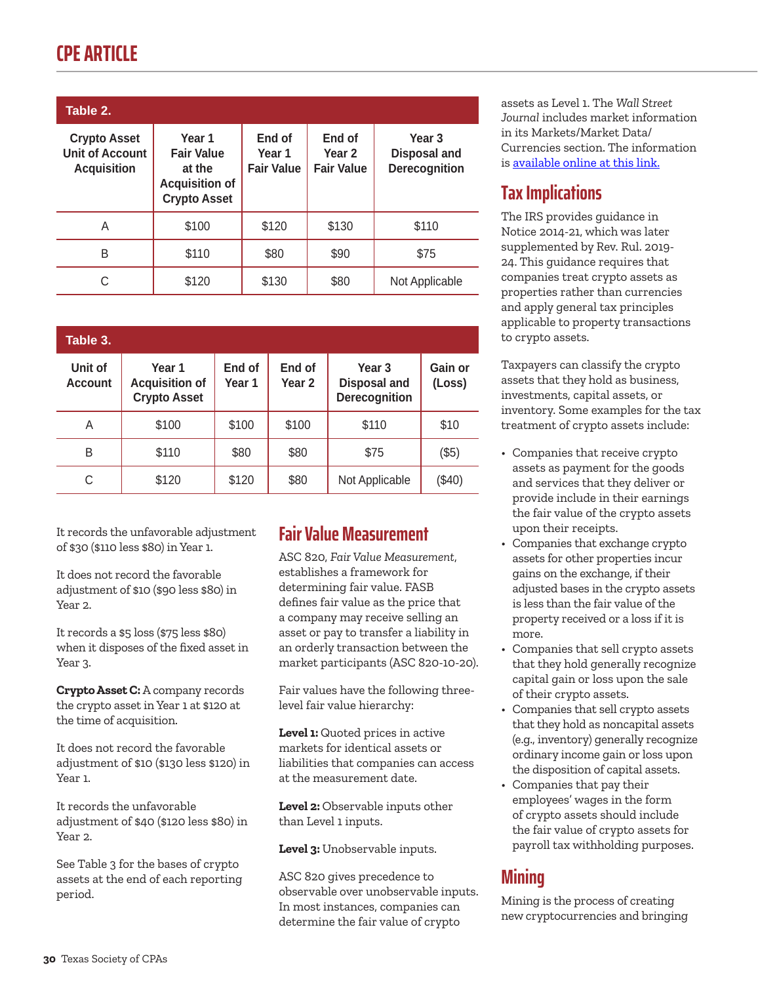# **CPE ARTICLE**

| Table 2.                                                            |                                                                                       |                                       |                                                  |                                                           |  |  |  |  |
|---------------------------------------------------------------------|---------------------------------------------------------------------------------------|---------------------------------------|--------------------------------------------------|-----------------------------------------------------------|--|--|--|--|
| <b>Crypto Asset</b><br><b>Unit of Account</b><br><b>Acquisition</b> | Year 1<br><b>Fair Value</b><br>at the<br><b>Acquisition of</b><br><b>Crypto Asset</b> | End of<br>Year 1<br><b>Fair Value</b> | End of<br>Year <sub>2</sub><br><b>Fair Value</b> | Year <sub>3</sub><br><b>Disposal and</b><br>Derecognition |  |  |  |  |
| A                                                                   | \$100                                                                                 | \$120                                 | \$130                                            | \$110                                                     |  |  |  |  |
| B                                                                   | \$110                                                                                 | \$80                                  | \$90                                             | \$75                                                      |  |  |  |  |
| C                                                                   | \$120                                                                                 | \$130                                 | \$80                                             | Not Applicable                                            |  |  |  |  |

| Table 3.                  |                                                        |                  |                  |                                                           |                   |  |  |  |  |
|---------------------------|--------------------------------------------------------|------------------|------------------|-----------------------------------------------------------|-------------------|--|--|--|--|
| Unit of<br><b>Account</b> | Year 1<br><b>Acquisition of</b><br><b>Crypto Asset</b> | End of<br>Year 1 | End of<br>Year 2 | Year <sub>3</sub><br><b>Disposal and</b><br>Derecognition | Gain or<br>(Loss) |  |  |  |  |
| A                         | \$100                                                  | \$100            | \$100            | \$110                                                     | \$10              |  |  |  |  |
| B                         | \$110                                                  | \$80             | \$80             | \$75                                                      | (\$5)             |  |  |  |  |
| С                         | \$120                                                  | \$120            | \$80             | Not Applicable                                            | $(\$40)$          |  |  |  |  |

It records the unfavorable adjustment of \$30 (\$110 less \$80) in Year 1.

It does not record the favorable adjustment of \$10 (\$90 less \$80) in Year 2.

It records a \$5 loss (\$75 less \$80) when it disposes of the fixed asset in Year 3.

**Crypto Asset C:** A company records the crypto asset in Year 1 at \$120 at the time of acquisition.

It does not record the favorable adjustment of \$10 (\$130 less \$120) in Year 1.

It records the unfavorable adjustment of \$40 (\$120 less \$80) in Year 2.

See Table 3 for the bases of crypto assets at the end of each reporting period.

# **Fair Value Measurement**

ASC 820, *Fair Value Measurement*, establishes a framework for determining fair value. FASB defines fair value as the price that a company may receive selling an asset or pay to transfer a liability in an orderly transaction between the market participants (ASC 820-10-20).

Fair values have the following threelevel fair value hierarchy:

**Level 1:** Quoted prices in active markets for identical assets or liabilities that companies can access at the measurement date.

**Level 2:** Observable inputs other than Level 1 inputs.

**Level 3:** Unobservable inputs.

ASC 820 gives precedence to observable over unobservable inputs. In most instances, companies can determine the fair value of crypto

assets as Level 1. The *Wall Street Journal* includes market information in its Markets/Market Data/ Currencies section. The information is [available online at this link.](https://www.wsj.com/market-data/currencies?mod=nav_top_subsection)

# **Tax Implications**

The IRS provides guidance in Notice 2014-21, which was later supplemented by Rev. Rul. 2019- 24. This guidance requires that companies treat crypto assets as properties rather than currencies and apply general tax principles applicable to property transactions to crypto assets.

Taxpayers can classify the crypto assets that they hold as business, investments, capital assets, or inventory. Some examples for the tax treatment of crypto assets include:

- Companies that receive crypto assets as payment for the goods and services that they deliver or provide include in their earnings the fair value of the crypto assets upon their receipts.
- Companies that exchange crypto assets for other properties incur gains on the exchange, if their adjusted bases in the crypto assets is less than the fair value of the property received or a loss if it is more.
- Companies that sell crypto assets that they hold generally recognize capital gain or loss upon the sale of their crypto assets.
- Companies that sell crypto assets that they hold as noncapital assets (e.g., inventory) generally recognize ordinary income gain or loss upon the disposition of capital assets.
- Companies that pay their employees' wages in the form of crypto assets should include the fair value of crypto assets for payroll tax withholding purposes.

# **Mining**

Mining is the process of creating new cryptocurrencies and bringing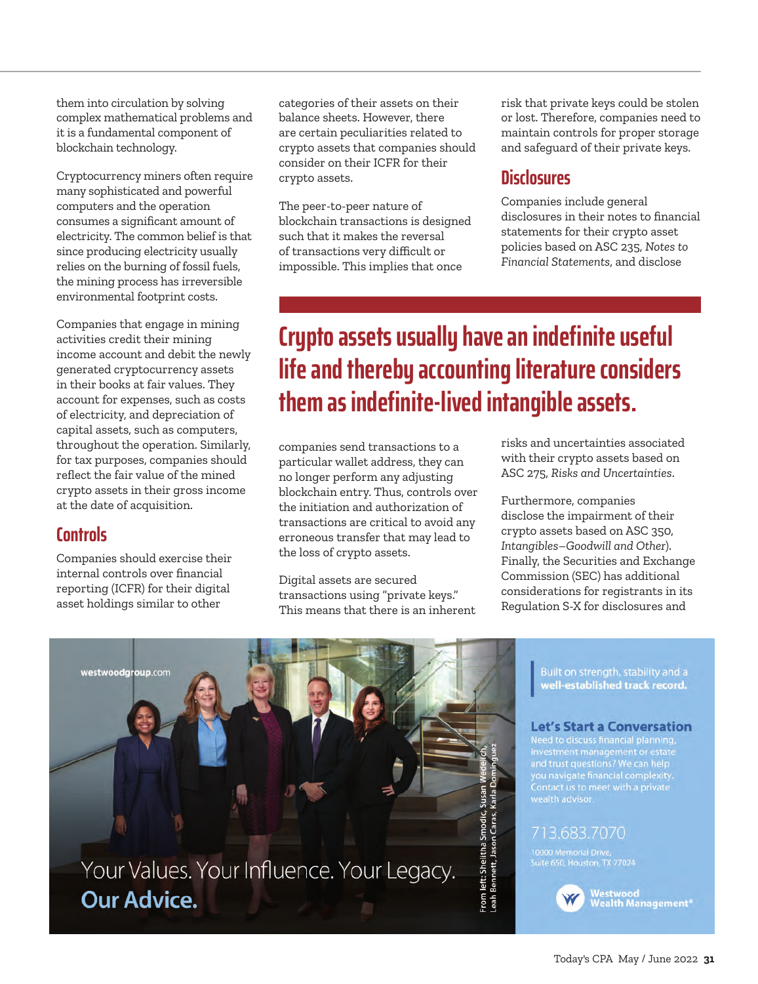them into circulation by solving complex mathematical problems and it is a fundamental component of blockchain technology.

Cryptocurrency miners often require many sophisticated and powerful computers and the operation consumes a significant amount of electricity. The common belief is that since producing electricity usually relies on the burning of fossil fuels, the mining process has irreversible environmental footprint costs.

Companies that engage in mining activities credit their mining income account and debit the newly generated cryptocurrency assets in their books at fair values. They account for expenses, such as costs of electricity, and depreciation of capital assets, such as computers, throughout the operation. Similarly, for tax purposes, companies should reflect the fair value of the mined crypto assets in their gross income at the date of acquisition.

### **Controls**

Companies should exercise their internal controls over financial reporting (ICFR) for their digital asset holdings similar to other

categories of their assets on their balance sheets. However, there are certain peculiarities related to crypto assets that companies should consider on their ICFR for their crypto assets.

The peer-to-peer nature of blockchain transactions is designed such that it makes the reversal of transactions very difficult or impossible. This implies that once

risk that private keys could be stolen or lost. Therefore, companies need to maintain controls for proper storage and safeguard of their private keys.

### **Disclosures**

Companies include general disclosures in their notes to financial statements for their crypto asset policies based on ASC 235, *Notes to Financial Statements*, and disclose

# **Crypto assets usually have an indefinite useful life and thereby accounting literature considers them as indefinite-lived intangible assets.**

companies send transactions to a particular wallet address, they can no longer perform any adjusting blockchain entry. Thus, controls over the initiation and authorization of transactions are critical to avoid any erroneous transfer that may lead to the loss of crypto assets.

Digital assets are secured transactions using "private keys." This means that there is an inherent risks and uncertainties associated with their crypto assets based on ASC 275, *Risks and Uncertainties*.

Furthermore, companies disclose the impairment of their crypto assets based on ASC 350, *Intangibles*–*Goodwill and Other*). Finally, the Securities and Exchange Commission (SEC) has additional considerations for registrants in its Regulation S-X for disclosures and



Built on strength, stability and a well-established track record.

### **Let's Start a Conversation**

Need to discuss financial planning,<br>investment management or estate and trust questions? we can help<br>you navigate financial complexity.<br>Contact us to meet with a private<br>wealth advisor.

### 713.683.7070

10000 Memorial Drive,<br>Suite 650, Houston, TX 77024



Westwood<br>Wealth Management®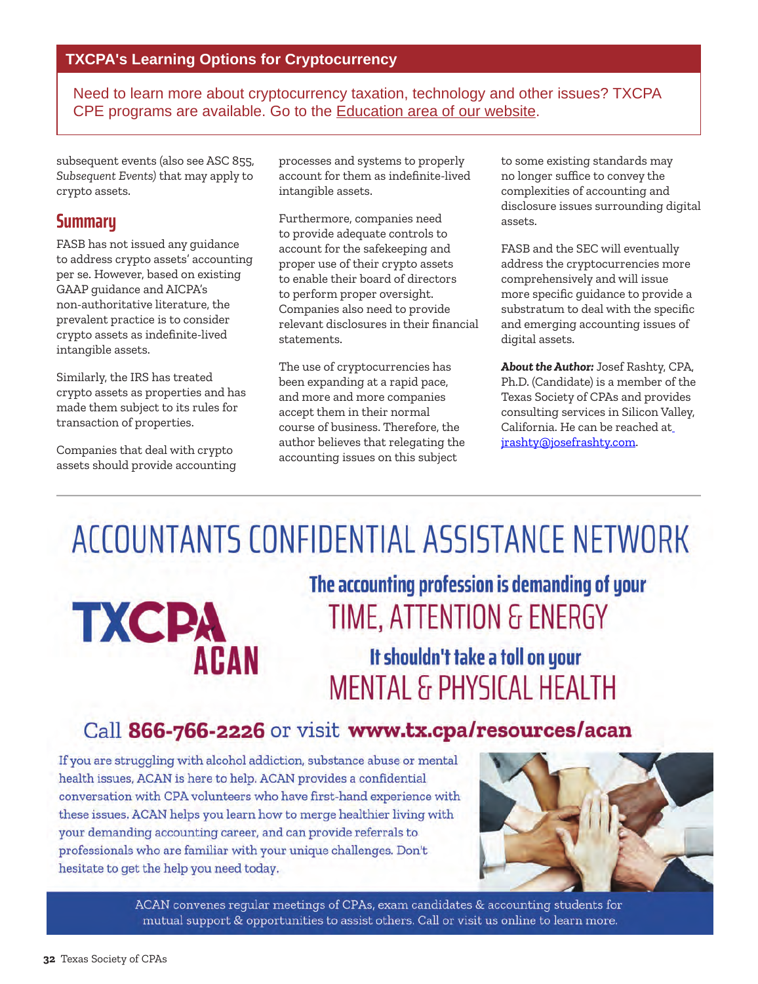Need to learn more about cryptocurrency taxation, technology and other issues? TXCPA CPE programs are available. Go to the [Education area of our website.](https://www.tx.cpa/search?#/?search=cryptocurrency)

subsequent events (also see ASC 855, *Subsequent Events)* that may apply to crypto assets.

### **Summary**

FASB has not issued any guidance to address crypto assets' accounting per se. However, based on existing GAAP guidance and AICPA's non-authoritative literature, the prevalent practice is to consider crypto assets as indefinite-lived intangible assets.

Similarly, the IRS has treated crypto assets as properties and has made them subject to its rules for transaction of properties.

Companies that deal with crypto assets should provide accounting processes and systems to properly account for them as indefinite-lived intangible assets.

Furthermore, companies need to provide adequate controls to account for the safekeeping and proper use of their crypto assets to enable their board of directors to perform proper oversight. Companies also need to provide relevant disclosures in their financial statements.

The use of cryptocurrencies has been expanding at a rapid pace, and more and more companies accept them in their normal course of business. Therefore, the author believes that relegating the accounting issues on this subject

to some existing standards may no longer suffice to convey the complexities of accounting and disclosure issues surrounding digital assets.

FASB and the SEC will eventually address the cryptocurrencies more comprehensively and will issue more specific guidance to provide a substratum to deal with the specific and emerging accounting issues of digital assets.

*About the Author:* Josef Rashty, CPA, Ph.D. (Candidate) is a member of the Texas Society of CPAs and provides consulting services in Silicon Valley, California. He can be reached at [jrashty@josefrashty.com](mailto:jrashty@josefrashty.com).

# ACCOUNTANTS CONFIDENTIAL ASSISTANCE NETWORK

# **TXCPA ACAN**

# The accounting profession is demanding of your TIME, ATTENTION & ENERGY

It shouldn't take a toll on your **MENTAL & PHYSICAL HEALTH** 

# Call 866-766-2226 or visit www.tx.cpa/resources/acan

If you are struggling with alcohol addiction, substance abuse or mental health issues, ACAN is here to help. ACAN provides a confidential conversation with CPA volunteers who have first-hand experience with these issues. ACAN helps you learn how to merge healthier living with your demanding accounting career, and can provide referrals to professionals who are familiar with your unique challenges. Don't hesitate to get the help you need today.



ACAN convenes regular meetings of CPAs, exam candidates & accounting students for mutual support & opportunities to assist others. Call or visit us online to learn more.